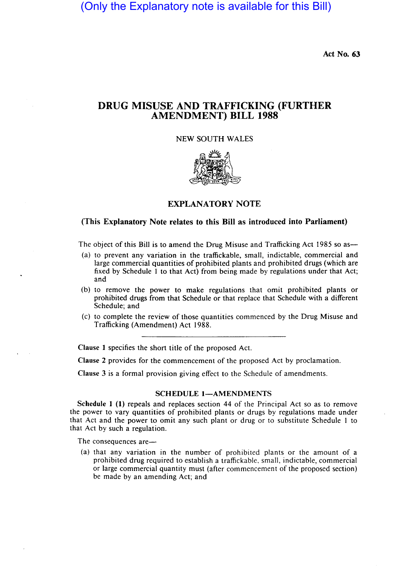(Only the Explanatory note is available for this Bill)

Act No. 63

## DRUG MISUSE AND TRAFFICKING (FURTHER AMENDMENT) BILL 1988

NEW SOUTH WALES



## EXPLANATORY NOTE

## (This Explanatory Note relates to this Bill as introduced into Parliament)

The object of this Bill is to amend the Drug Misuse and Trafficking Act 1985 so as-

- (a) to prevent any variation in the traffickable, small, indictable, commercial and large commercial quantities of prohibited plants and prohibited drugs (which are fixed by Schedule 1 to that Act) from being made by regulations under that Act; and
- (b) to remove the power to make regulations that omit prohibited plants or prohibited drugs from that Schedule or that replace that Schedule with a different Schedule; and
- (c) to complete the review of those quantities commenced by the Drug Misuse and Trafficking (Amendment) Act 1988.

Clause 1 specifies the short title of the proposed Act.

Clause 2 provides for the commencement of the proposed Act by proclamation.

Clause 3 is a formal provision giving effect to the Schedule of amendments.

## SCHEDULE 1-AMENDMENTS

Schedule 1 (1) repeals and replaces section 44 of the Principal Act so as to remove the power to vary quantities of prohibited plants or drugs by regulations made under that Act and the power to omit any such plant or drug or to substitute Schedule 1 to that Act by such a regulation.

The consequences are-

(a) that any variation in the number of prohibited plants or the amount of a prohibited drug required to establish a traffickable, small, indictable, commercial or large commercial quantity must (after commencement of the proposed section) be made by an amending Act; and